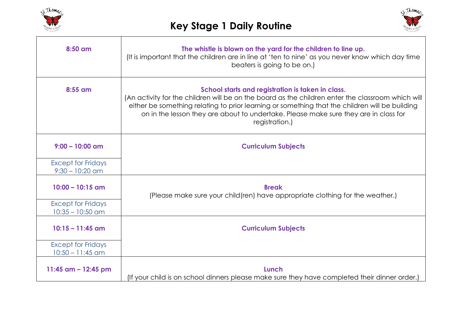



| 8:50 am                                         | The whistle is blown on the yard for the children to line up.<br>(It is important that the children are in line at 'ten to nine' as you never know which day time<br>beaters is going to be on.)                                                                                                                                                                   |
|-------------------------------------------------|--------------------------------------------------------------------------------------------------------------------------------------------------------------------------------------------------------------------------------------------------------------------------------------------------------------------------------------------------------------------|
| 8:55 am                                         | School starts and registration is taken in class.<br>(An activity for the children will be on the board as the children enter the classroom which will<br>either be something relating to prior learning or something that the children will be building<br>on in the lesson they are about to undertake. Please make sure they are in class for<br>registration.) |
| $9:00 - 10:00$ am                               | <b>Curriculum Subjects</b>                                                                                                                                                                                                                                                                                                                                         |
| <b>Except for Fridays</b><br>$9:30 - 10:20$ am  |                                                                                                                                                                                                                                                                                                                                                                    |
| $10:00 - 10:15$ am                              | <b>Break</b><br>(Please make sure your child (ren) have appropriate clothing for the weather.)                                                                                                                                                                                                                                                                     |
| <b>Except for Fridays</b><br>$10:35 - 10:50$ am |                                                                                                                                                                                                                                                                                                                                                                    |
| $10:15 - 11:45$ am                              | <b>Curriculum Subjects</b>                                                                                                                                                                                                                                                                                                                                         |
| <b>Except for Fridays</b><br>$10:50 - 11:45$ am |                                                                                                                                                                                                                                                                                                                                                                    |
| 11:45 $am - 12:45$ pm                           | Lunch<br>(If your child is on school dinners please make sure they have completed their dinner order.)                                                                                                                                                                                                                                                             |